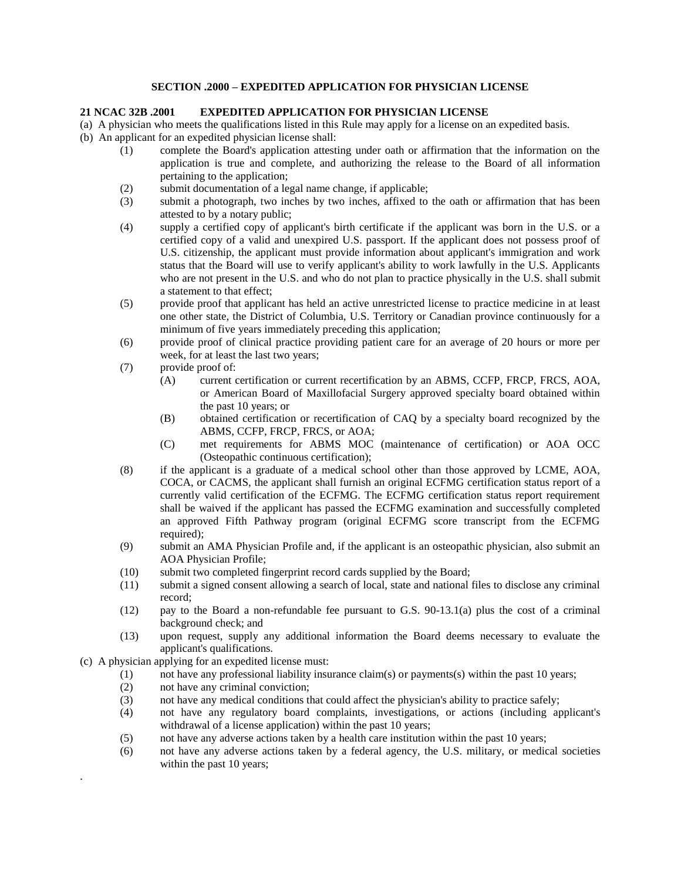## **SECTION .2000 – EXPEDITED APPLICATION FOR PHYSICIAN LICENSE**

## **21 NCAC 32B .2001 EXPEDITED APPLICATION FOR PHYSICIAN LICENSE**

(a) A physician who meets the qualifications listed in this Rule may apply for a license on an expedited basis.

- (b) An applicant for an expedited physician license shall:
	- (1) complete the Board's application attesting under oath or affirmation that the information on the application is true and complete, and authorizing the release to the Board of all information pertaining to the application;
	- (2) submit documentation of a legal name change, if applicable;
	- (3) submit a photograph, two inches by two inches, affixed to the oath or affirmation that has been attested to by a notary public;
	- (4) supply a certified copy of applicant's birth certificate if the applicant was born in the U.S. or a certified copy of a valid and unexpired U.S. passport. If the applicant does not possess proof of U.S. citizenship, the applicant must provide information about applicant's immigration and work status that the Board will use to verify applicant's ability to work lawfully in the U.S. Applicants who are not present in the U.S. and who do not plan to practice physically in the U.S. shall submit a statement to that effect;
	- (5) provide proof that applicant has held an active unrestricted license to practice medicine in at least one other state, the District of Columbia, U.S. Territory or Canadian province continuously for a minimum of five years immediately preceding this application;
	- (6) provide proof of clinical practice providing patient care for an average of 20 hours or more per week, for at least the last two years;
	- (7) provide proof of:
		- (A) current certification or current recertification by an ABMS, CCFP, FRCP, FRCS, AOA, or American Board of Maxillofacial Surgery approved specialty board obtained within the past 10 years; or
		- (B) obtained certification or recertification of CAQ by a specialty board recognized by the ABMS, CCFP, FRCP, FRCS, or AOA;
		- (C) met requirements for ABMS MOC (maintenance of certification) or AOA OCC (Osteopathic continuous certification);
	- (8) if the applicant is a graduate of a medical school other than those approved by LCME, AOA, COCA, or CACMS, the applicant shall furnish an original ECFMG certification status report of a currently valid certification of the ECFMG. The ECFMG certification status report requirement shall be waived if the applicant has passed the ECFMG examination and successfully completed an approved Fifth Pathway program (original ECFMG score transcript from the ECFMG required):
	- (9) submit an AMA Physician Profile and, if the applicant is an osteopathic physician, also submit an AOA Physician Profile;
	- (10) submit two completed fingerprint record cards supplied by the Board;
	- (11) submit a signed consent allowing a search of local, state and national files to disclose any criminal record;
	- (12) pay to the Board a non-refundable fee pursuant to G.S. 90-13.1(a) plus the cost of a criminal background check; and
	- (13) upon request, supply any additional information the Board deems necessary to evaluate the applicant's qualifications.
- (c) A physician applying for an expedited license must:

.

- (1) not have any professional liability insurance claim(s) or payments(s) within the past 10 years;
- (2) not have any criminal conviction;
- (3) not have any medical conditions that could affect the physician's ability to practice safely;
- (4) not have any regulatory board complaints, investigations, or actions (including applicant's withdrawal of a license application) within the past 10 years;
- (5) not have any adverse actions taken by a health care institution within the past 10 years;
- (6) not have any adverse actions taken by a federal agency, the U.S. military, or medical societies within the past 10 years;